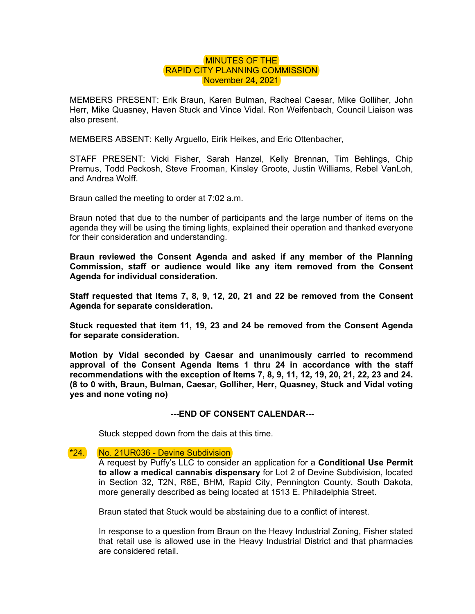## MINUTES OF THE RAPID CITY PLANNING COMMISSION November 24, 2021

MEMBERS PRESENT: Erik Braun, Karen Bulman, Racheal Caesar, Mike Golliher, John Herr, Mike Quasney, Haven Stuck and Vince Vidal. Ron Weifenbach, Council Liaison was also present.

MEMBERS ABSENT: Kelly Arguello, Eirik Heikes, and Eric Ottenbacher,

STAFF PRESENT: Vicki Fisher, Sarah Hanzel, Kelly Brennan, Tim Behlings, Chip Premus, Todd Peckosh, Steve Frooman, Kinsley Groote, Justin Williams, Rebel VanLoh, and Andrea Wolff.

Braun called the meeting to order at 7:02 a.m.

Braun noted that due to the number of participants and the large number of items on the agenda they will be using the timing lights, explained their operation and thanked everyone for their consideration and understanding.

**Braun reviewed the Consent Agenda and asked if any member of the Planning Commission, staff or audience would like any item removed from the Consent Agenda for individual consideration.** 

**Staff requested that Items 7, 8, 9, 12, 20, 21 and 22 be removed from the Consent Agenda for separate consideration.** 

**Stuck requested that item 11, 19, 23 and 24 be removed from the Consent Agenda for separate consideration.** 

**Motion by Vidal seconded by Caesar and unanimously carried to recommend approval of the Consent Agenda Items 1 thru 24 in accordance with the staff recommendations with the exception of Items 7, 8, 9, 11, 12, 19, 20, 21, 22, 23 and 24. (8 to 0 with, Braun, Bulman, Caesar, Golliher, Herr, Quasney, Stuck and Vidal voting yes and none voting no)** 

## **---END OF CONSENT CALENDAR---**

Stuck stepped down from the dais at this time.

## \*24. No. 21UR036 - Devine Subdivision

A request by Puffy's LLC to consider an application for a **Conditional Use Permit to allow a medical cannabis dispensary** for Lot 2 of Devine Subdivision, located in Section 32, T2N, R8E, BHM, Rapid City, Pennington County, South Dakota, more generally described as being located at 1513 E. Philadelphia Street.

Braun stated that Stuck would be abstaining due to a conflict of interest.

In response to a question from Braun on the Heavy Industrial Zoning, Fisher stated that retail use is allowed use in the Heavy Industrial District and that pharmacies are considered retail.